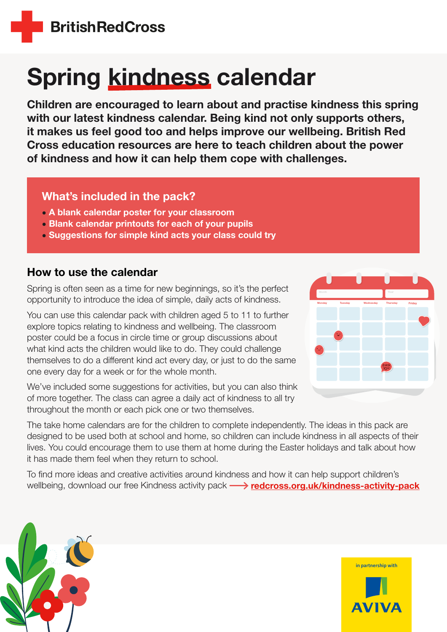

# Spring kindness calendar

Children are encouraged to learn about and practise kindness this spring with our latest kindness calendar. Being kind not only supports others, it makes us feel good too and helps improve our wellbeing. British Red Cross education resources are here to teach children about the power of kindness and how it can help them cope with challenges.

### What's included in the pack?

- A blank calendar poster for your classroom
- Blank calendar printouts for each of your pupils
- Suggestions for simple kind acts your class could try

## How to use the calendar

Spring is often seen as a time for new beginnings, so it's the perfect opportunity to introduce the idea of simple, daily acts of kindness.

You can use this calendar pack with children aged 5 to 11 to further explore topics relating to kindness and wellbeing. The classroom poster could be a focus in circle time or group discussions about what kind acts the children would like to do. They could challenge themselves to do a different kind act every day, or just to do the same one every day for a week or for the whole month.

We've included some suggestions for activities, but you can also think of more together. The class can agree a daily act of kindness to all try throughout the month or each pick one or two themselves.



The take home calendars are for the children to complete independently. The ideas in this pack are designed to be used both at school and home, so children can include kindness in all aspects of their lives. You could encourage them to use them at home during the Easter holidays and talk about how it has made them feel when they return to school.

To find more ideas and creative activities around kindness and how it can help support children's wellbeing, download our free Kindness activity pack  $\longrightarrow$  [redcross.org.uk/kindness-activity-pack](https://www.redcross.org.uk/kindness-activity-pack)



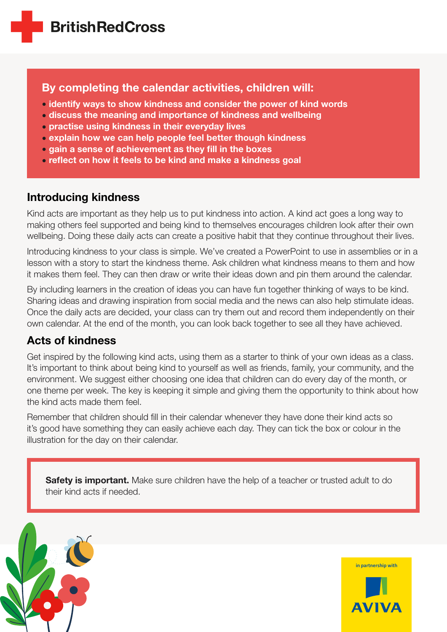## By completing the calendar activities, children will:

- identify ways to show kindness and consider the power of kind words
- discuss the meaning and importance of kindness and wellbeing
- practise using kindness in their everyday lives
- explain how we can help people feel better though kindness
- gain a sense of achievement as they fill in the boxes
- reflect on how it feels to be kind and make a kindness goal

## Introducing kindness

Kind acts are important as they help us to put kindness into action. A kind act goes a long way to making others feel supported and being kind to themselves encourages children look after their own wellbeing. Doing these daily acts can create a positive habit that they continue throughout their lives.

Introducing kindness to your class is simple. We've created a PowerPoint to use in assemblies or in a lesson with a story to start the kindness theme. Ask children what kindness means to them and how it makes them feel. They can then draw or write their ideas down and pin them around the calendar.

By including learners in the creation of ideas you can have fun together thinking of ways to be kind. Sharing ideas and drawing inspiration from social media and the news can also help stimulate ideas. Once the daily acts are decided, your class can try them out and record them independently on their own calendar. At the end of the month, you can look back together to see all they have achieved.

## Acts of kindness

Get inspired by the following kind acts, using them as a starter to think of your own ideas as a class. It's important to think about being kind to yourself as well as friends, family, your community, and the environment. We suggest either choosing one idea that children can do every day of the month, or one theme per week. The key is keeping it simple and giving them the opportunity to think about how the kind acts made them feel.

Remember that children should fill in their calendar whenever they have done their kind acts so it's good have something they can easily achieve each day. They can tick the box or colour in the illustration for the day on their calendar.

Safety is important. Make sure children have the help of a teacher or trusted adult to do their kind acts if needed.



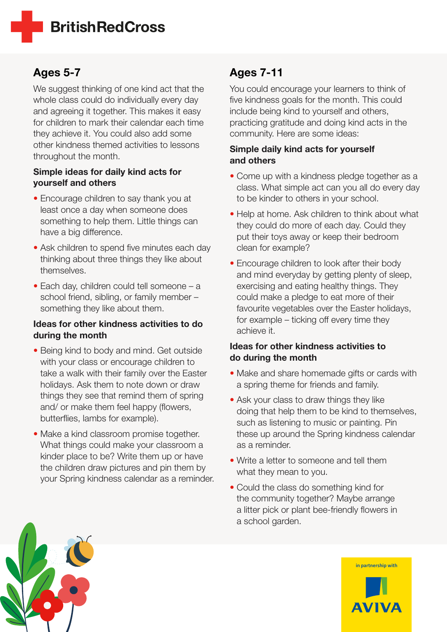## **BritishRedCross**

## Ages 5-7

We suggest thinking of one kind act that the whole class could do individually every day and agreeing it together. This makes it easy for children to mark their calendar each time they achieve it. You could also add some other kindness themed activities to lessons throughout the month.

#### Simple ideas for daily kind acts for yourself and others

- Encourage children to say thank you at least once a day when someone does something to help them. Little things can have a big difference.
- Ask children to spend five minutes each day thinking about three things they like about themselves.
- Each day, children could tell someone a school friend, sibling, or family member – something they like about them.

#### Ideas for other kindness activities to do during the month

- Being kind to body and mind. Get outside with your class or encourage children to take a walk with their family over the Easter holidays. Ask them to note down or draw things they see that remind them of spring and/ or make them feel happy (flowers, butterflies, lambs for example).
- Make a kind classroom promise together. What things could make your classroom a kinder place to be? Write them up or have the children draw pictures and pin them by your Spring kindness calendar as a reminder.

## Ages 7-11

You could encourage your learners to think of five kindness goals for the month. This could include being kind to yourself and others, practicing gratitude and doing kind acts in the community. Here are some ideas:

#### Simple daily kind acts for yourself and others

- Come up with a kindness pledge together as a class. What simple act can you all do every day to be kinder to others in your school.
- Help at home. Ask children to think about what they could do more of each day. Could they put their toys away or keep their bedroom clean for example?
- Encourage children to look after their body and mind everyday by getting plenty of sleep, exercising and eating healthy things. They could make a pledge to eat more of their favourite vegetables over the Easter holidays, for example – ticking off every time they achieve it.

#### Ideas for other kindness activities to do during the month

- Make and share homemade gifts or cards with a spring theme for friends and family.
- Ask your class to draw things they like doing that help them to be kind to themselves, such as listening to music or painting. Pin these up around the Spring kindness calendar as a reminder.
- Write a letter to someone and tell them what they mean to you.
- Could the class do something kind for the community together? Maybe arrange a litter pick or plant bee-friendly flowers in a school garden.